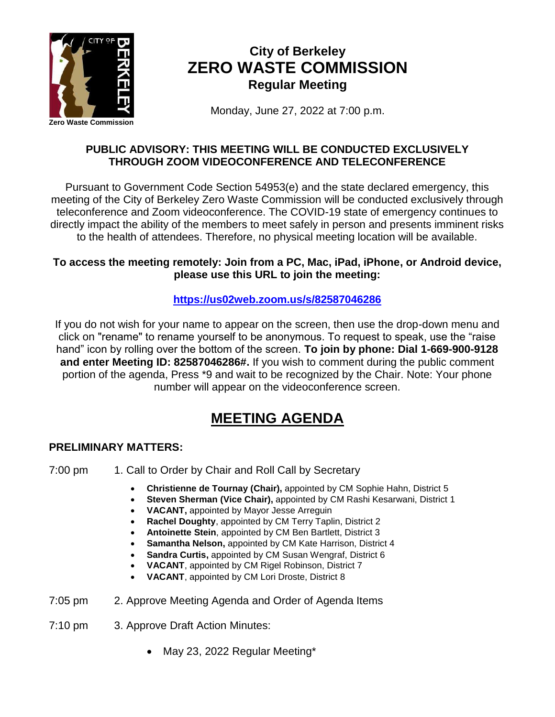

# **City of Berkeley ZERO WASTE COMMISSION Regular Meeting**

Monday, June 27, 2022 at 7:00 p.m.

## **PUBLIC ADVISORY: THIS MEETING WILL BE CONDUCTED EXCLUSIVELY THROUGH ZOOM VIDEOCONFERENCE AND TELECONFERENCE**

Pursuant to Government Code Section 54953(e) and the state declared emergency, this meeting of the City of Berkeley Zero Waste Commission will be conducted exclusively through teleconference and Zoom videoconference. The COVID-19 state of emergency continues to directly impact the ability of the members to meet safely in person and presents imminent risks to the health of attendees. Therefore, no physical meeting location will be available.

## **To access the meeting remotely: Join from a PC, Mac, iPad, iPhone, or Android device, please use this URL to join the meeting:**

## **<https://us02web.zoom.us/s/82587046286>**

If you do not wish for your name to appear on the screen, then use the drop-down menu and click on "rename" to rename yourself to be anonymous. To request to speak, use the "raise hand" icon by rolling over the bottom of the screen. **To join by phone: Dial 1-669-900-9128 and enter Meeting ID: 82587046286#.** If you wish to comment during the public comment portion of the agenda, Press \*9 and wait to be recognized by the Chair. Note: Your phone number will appear on the videoconference screen.

# **MEETING AGENDA**

## **PRELIMINARY MATTERS:**

- 7:00 pm 1. Call to Order by Chair and Roll Call by Secretary
	- **Christienne de Tournay (Chair),** appointed by CM Sophie Hahn, District 5
	- **Steven Sherman (Vice Chair),** appointed by CM Rashi Kesarwani, District 1
	- **VACANT,** appointed by Mayor Jesse Arreguin
	- **Rachel Doughty**, appointed by CM Terry Taplin, District 2
	- **Antoinette Stein**, appointed by CM Ben Bartlett, District 3
	- **Samantha Nelson,** appointed by CM Kate Harrison, District 4
	- **Sandra Curtis,** appointed by CM Susan Wengraf, District 6
	- **VACANT**, appointed by CM Rigel Robinson, District 7
	- **VACANT**, appointed by CM Lori Droste, District 8
- 7:05 pm 2. Approve Meeting Agenda and Order of Agenda Items
- 7:10 pm 3. Approve Draft Action Minutes:
	- May 23, 2022 Regular Meeting\*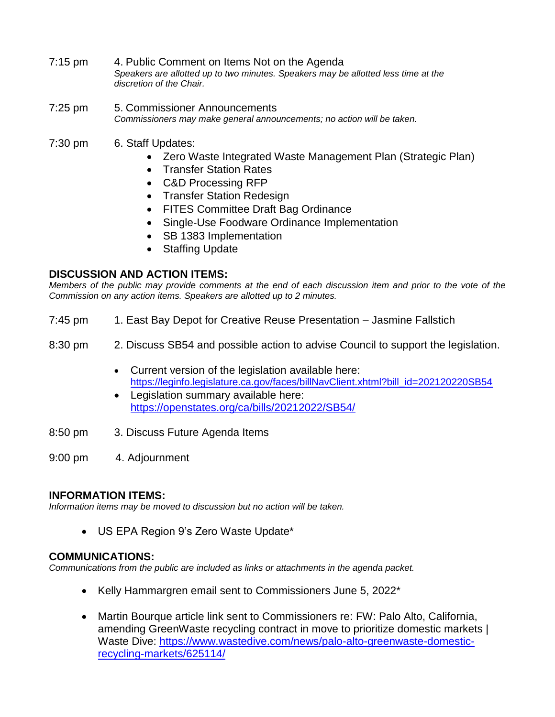- 7:15 pm 4. Public Comment on Items Not on the Agenda *Speakers are allotted up to two minutes. Speakers may be allotted less time at the discretion of the Chair.*
- 7:25 pm 5. Commissioner Announcements *Commissioners may make general announcements; no action will be taken.*
- 7:30 pm 6. Staff Updates:
	- Zero Waste Integrated Waste Management Plan (Strategic Plan)
	- Transfer Station Rates
	- C&D Processing RFP
	- Transfer Station Redesign
	- FITES Committee Draft Bag Ordinance
	- Single-Use Foodware Ordinance Implementation
	- SB 1383 Implementation
	- Staffing Update

#### **DISCUSSION AND ACTION ITEMS:**

*Members of the public may provide comments at the end of each discussion item and prior to the vote of the Commission on any action items. Speakers are allotted up to 2 minutes.*

- 7:45 pm 1. East Bay Depot for Creative Reuse Presentation Jasmine Fallstich
- 8:30 pm 2. Discuss SB54 and possible action to advise Council to support the legislation.
	- Current version of the legislation available here: [https://leginfo.legislature.ca.gov/faces/billNavClient.xhtml?bill\\_id=202120220SB54](https://leginfo.legislature.ca.gov/faces/billNavClient.xhtml?bill_id=202120220SB54)
	- Legislation summary available here: <https://openstates.org/ca/bills/20212022/SB54/>
- 8:50 pm 3. Discuss Future Agenda Items
- 9:00 pm 4. Adjournment

#### **INFORMATION ITEMS:**

*Information items may be moved to discussion but no action will be taken.*

• US EPA Region 9's Zero Waste Update\*

#### **COMMUNICATIONS:**

*Communications from the public are included as links or attachments in the agenda packet.*

- Kelly Hammargren email sent to Commissioners June 5, 2022\*
- Martin Bourque article link sent to Commissioners re: FW: Palo Alto, California, amending GreenWaste recycling contract in move to prioritize domestic markets | Waste Dive: [https://www.wastedive.com/news/palo-alto-greenwaste-domestic](https://www.wastedive.com/news/palo-alto-greenwaste-domestic-recycling-markets/625114/)[recycling-markets/625114/](https://www.wastedive.com/news/palo-alto-greenwaste-domestic-recycling-markets/625114/)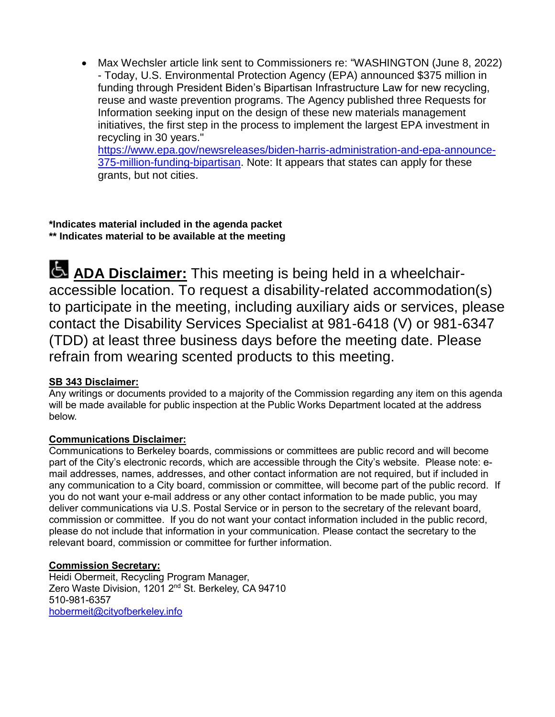• Max Wechsler article link sent to Commissioners re: "WASHINGTON (June 8, 2022) - Today, U.S. Environmental Protection Agency (EPA) announced \$375 million in funding through President Biden's Bipartisan Infrastructure Law for new recycling, reuse and waste prevention programs. The Agency published three Requests for Information seeking input on the design of these new materials management initiatives, the first step in the process to implement the largest EPA investment in recycling in 30 years."

[https://www.epa.gov/newsreleases/biden-harris-administration-and-epa-announce-](https://www.epa.gov/newsreleases/biden-harris-administration-and-epa-announce-375-million-funding-bipartisan)[375-million-funding-bipartisan.](https://www.epa.gov/newsreleases/biden-harris-administration-and-epa-announce-375-million-funding-bipartisan) Note: It appears that states can apply for these grants, but not cities.

#### **\*Indicates material included in the agenda packet \*\* Indicates material to be available at the meeting**

**ADA Disclaimer:** This meeting is being held in a wheelchairaccessible location. To request a disability-related accommodation(s) to participate in the meeting, including auxiliary aids or services, please contact the Disability Services Specialist at 981-6418 (V) or 981-6347 (TDD) at least three business days before the meeting date. Please refrain from wearing scented products to this meeting.

## **SB 343 Disclaimer:**

Any writings or documents provided to a majority of the Commission regarding any item on this agenda will be made available for public inspection at the Public Works Department located at the address below.

#### **Communications Disclaimer:**

Communications to Berkeley boards, commissions or committees are public record and will become part of the City's electronic records, which are accessible through the City's website. Please note: email addresses, names, addresses, and other contact information are not required, but if included in any communication to a City board, commission or committee, will become part of the public record. If you do not want your e-mail address or any other contact information to be made public, you may deliver communications via U.S. Postal Service or in person to the secretary of the relevant board, commission or committee. If you do not want your contact information included in the public record, please do not include that information in your communication. Please contact the secretary to the relevant board, commission or committee for further information.

#### **Commission Secretary:**

Heidi Obermeit, Recycling Program Manager, Zero Waste Division, 1201 2<sup>nd</sup> St. Berkeley, CA 94710 510-981-6357 [hobermeit@cityofberkeley.info](mailto:hobermeit@cityofberkeley.info)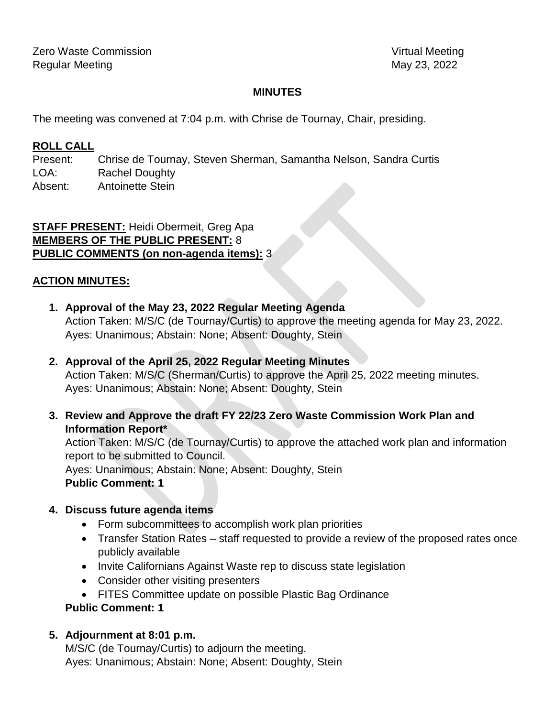## **MINUTES**

The meeting was convened at 7:04 p.m. with Chrise de Tournay, Chair, presiding.

## **ROLL CALL**

Present: Chrise de Tournay, Steven Sherman, Samantha Nelson, Sandra Curtis LOA: Rachel Doughty Absent: Antoinette Stein

**STAFF PRESENT:** Heidi Obermeit, Greg Apa **MEMBERS OF THE PUBLIC PRESENT:** 8 **PUBLIC COMMENTS (on non-agenda items):** 3

## **ACTION MINUTES:**

- **1. Approval of the May 23, 2022 Regular Meeting Agenda** Action Taken: M/S/C (de Tournay/Curtis) to approve the meeting agenda for May 23, 2022. Ayes: Unanimous; Abstain: None; Absent: Doughty, Stein
- **2. Approval of the April 25, 2022 Regular Meeting Minutes** Action Taken: M/S/C (Sherman/Curtis) to approve the April 25, 2022 meeting minutes. Ayes: Unanimous; Abstain: None; Absent: Doughty, Stein
- **3. Review and Approve the draft FY 22/23 Zero Waste Commission Work Plan and Information Report\***

Action Taken: M/S/C (de Tournay/Curtis) to approve the attached work plan and information report to be submitted to Council.

Ayes: Unanimous; Abstain: None; Absent: Doughty, Stein **Public Comment: 1**

#### **4. Discuss future agenda items**

- Form subcommittees to accomplish work plan priorities
- Transfer Station Rates staff requested to provide a review of the proposed rates once publicly available
- Invite Californians Against Waste rep to discuss state legislation
- Consider other visiting presenters
- FITES Committee update on possible Plastic Bag Ordinance

## **Public Comment: 1**

## **5. Adjournment at 8:01 p.m.**

M/S/C (de Tournay/Curtis) to adjourn the meeting. Ayes: Unanimous; Abstain: None; Absent: Doughty, Stein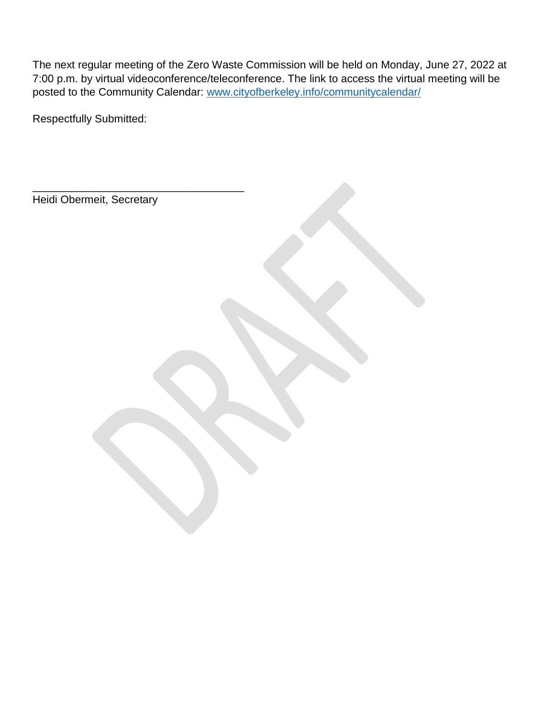The next regular meeting of the Zero Waste Commission will be held on Monday, June 27, 2022 at 7:00 p.m. by virtual videoconference/teleconference. The link to access the virtual meeting will be posted to the Community Calendar: [www.cityofberkeley.info/communitycalendar/](http://www.cityofberkeley.info/communitycalendar/)

Respectfully Submitted:

Heidi Obermeit, Secretary

\_\_\_\_\_\_\_\_\_\_\_\_\_\_\_\_\_\_\_\_\_\_\_\_\_\_\_\_\_\_\_\_\_\_\_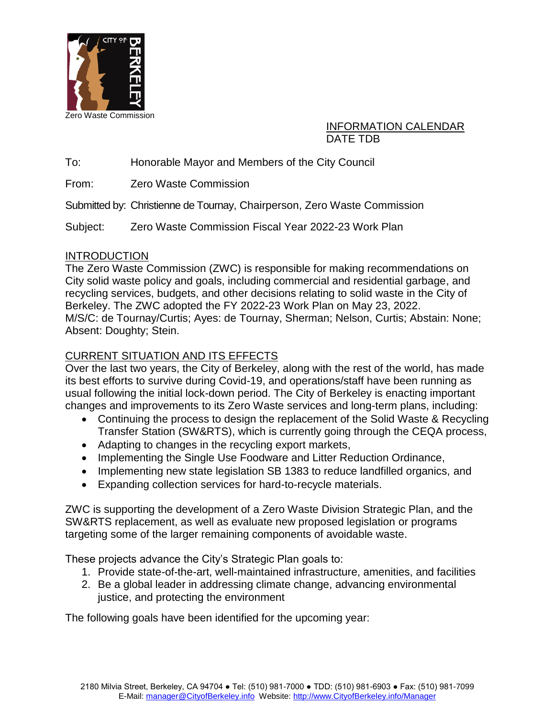

## INFORMATION CALENDAR DATE TDB

To: Honorable Mayor and Members of the City Council

From: Zero Waste Commission

Submitted by: Christienne de Tournay, Chairperson, Zero Waste Commission

Subject: Zero Waste Commission Fiscal Year 2022-23 Work Plan

## **INTRODUCTION**

The Zero Waste Commission (ZWC) is responsible for making recommendations on City solid waste policy and goals, including commercial and residential garbage, and recycling services, budgets, and other decisions relating to solid waste in the City of Berkeley. The ZWC adopted the FY 2022-23 Work Plan on May 23, 2022. M/S/C: de Tournay/Curtis; Ayes: de Tournay, Sherman; Nelson, Curtis; Abstain: None; Absent: Doughty; Stein.

## CURRENT SITUATION AND ITS EFFECTS

Over the last two years, the City of Berkeley, along with the rest of the world, has made its best efforts to survive during Covid-19, and operations/staff have been running as usual following the initial lock-down period. The City of Berkeley is enacting important changes and improvements to its Zero Waste services and long-term plans, including:

- Continuing the process to design the replacement of the Solid Waste & Recycling Transfer Station (SW&RTS), which is currently going through the CEQA process,
- Adapting to changes in the recycling export markets,
- Implementing the Single Use Foodware and Litter Reduction Ordinance,
- Implementing new state legislation SB 1383 to reduce landfilled organics, and
- Expanding collection services for hard-to-recycle materials.

ZWC is supporting the development of a Zero Waste Division Strategic Plan, and the SW&RTS replacement, as well as evaluate new proposed legislation or programs targeting some of the larger remaining components of avoidable waste.

These projects advance the City's Strategic Plan goals to:

- 1. Provide state-of-the-art, well-maintained infrastructure, amenities, and facilities
- 2. Be a global leader in addressing climate change, advancing environmental justice, and protecting the environment

The following goals have been identified for the upcoming year: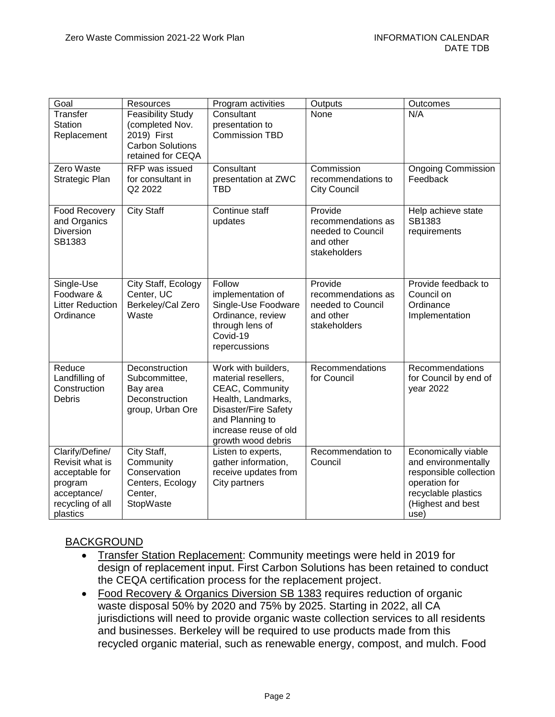| Goal                                                                                                           | Resources                                                                                                  | Program activities                                                                                                                                                                   | Outputs                                                                         | Outcomes                                                                                                                                  |
|----------------------------------------------------------------------------------------------------------------|------------------------------------------------------------------------------------------------------------|--------------------------------------------------------------------------------------------------------------------------------------------------------------------------------------|---------------------------------------------------------------------------------|-------------------------------------------------------------------------------------------------------------------------------------------|
| Transfer<br>Station<br>Replacement                                                                             | <b>Feasibility Study</b><br>(completed Nov.<br>2019) First<br><b>Carbon Solutions</b><br>retained for CEQA | Consultant<br>presentation to<br><b>Commission TBD</b>                                                                                                                               | None                                                                            | N/A                                                                                                                                       |
| Zero Waste<br>Strategic Plan                                                                                   | RFP was issued<br>for consultant in<br>Q2 2022                                                             | Consultant<br>presentation at ZWC<br><b>TBD</b>                                                                                                                                      | Commission<br>recommendations to<br><b>City Council</b>                         | <b>Ongoing Commission</b><br>Feedback                                                                                                     |
| <b>Food Recovery</b><br>and Organics<br>Diversion<br>SB1383                                                    | <b>City Staff</b>                                                                                          | Continue staff<br>updates                                                                                                                                                            | Provide<br>recommendations as<br>needed to Council<br>and other<br>stakeholders | Help achieve state<br>SB1383<br>requirements                                                                                              |
| Single-Use<br>Foodware &<br><b>Litter Reduction</b><br>Ordinance                                               | City Staff, Ecology<br>Center, UC<br>Berkeley/Cal Zero<br>Waste                                            | Follow<br>implementation of<br>Single-Use Foodware<br>Ordinance, review<br>through lens of<br>Covid-19<br>repercussions                                                              | Provide<br>recommendations as<br>needed to Council<br>and other<br>stakeholders | Provide feedback to<br>Council on<br>Ordinance<br>Implementation                                                                          |
| Reduce<br>Landfilling of<br>Construction<br>Debris                                                             | Deconstruction<br>Subcommittee,<br>Bay area<br>Deconstruction<br>group, Urban Ore                          | Work with builders,<br>material resellers,<br>CEAC, Community<br>Health, Landmarks,<br><b>Disaster/Fire Safety</b><br>and Planning to<br>increase reuse of old<br>growth wood debris | Recommendations<br>for Council                                                  | Recommendations<br>for Council by end of<br>year 2022                                                                                     |
| Clarify/Define/<br>Revisit what is<br>acceptable for<br>program<br>acceptance/<br>recycling of all<br>plastics | City Staff,<br>Community<br>Conservation<br>Centers, Ecology<br>Center,<br>StopWaste                       | Listen to experts,<br>gather information,<br>receive updates from<br>City partners                                                                                                   | Recommendation to<br>Council                                                    | Economically viable<br>and environmentally<br>responsible collection<br>operation for<br>recyclable plastics<br>(Highest and best<br>use) |

## BACKGROUND

- Transfer Station Replacement: Community meetings were held in 2019 for design of replacement input. First Carbon Solutions has been retained to conduct the CEQA certification process for the replacement project.
- Food Recovery & Organics Diversion SB 1383 requires reduction of organic waste disposal 50% by 2020 and 75% by 2025. Starting in 2022, all CA jurisdictions will need to provide organic waste collection services to all residents and businesses. Berkeley will be required to use products made from this recycled organic material, such as renewable energy, compost, and mulch. Food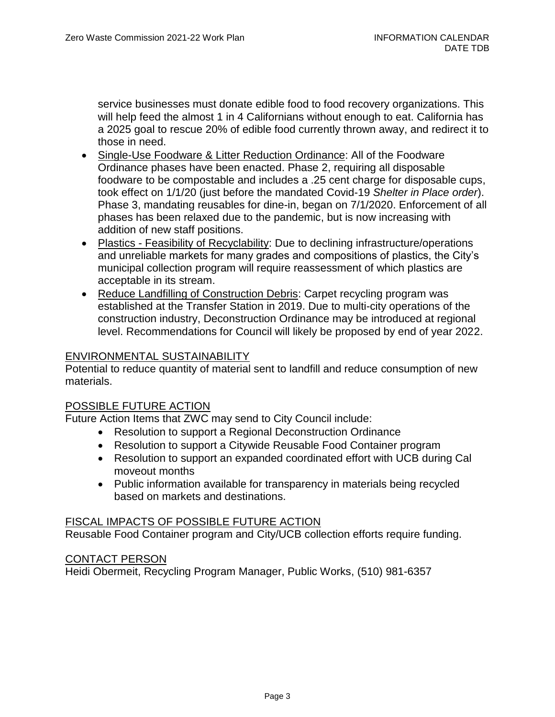service businesses must donate edible food to food recovery organizations. This will help feed the almost 1 in 4 Californians without enough to eat. California has a 2025 goal to rescue 20% of edible food currently thrown away, and redirect it to those in need.

- Single-Use Foodware & Litter Reduction Ordinance: All of the Foodware Ordinance phases have been enacted. Phase 2, requiring all disposable foodware to be compostable and includes a .25 cent charge for disposable cups, took effect on 1/1/20 (just before the mandated Covid-19 *Shelter in Place order*). Phase 3, mandating reusables for dine-in, began on 7/1/2020. Enforcement of all phases has been relaxed due to the pandemic, but is now increasing with addition of new staff positions.
- Plastics Feasibility of Recyclability: Due to declining infrastructure/operations and unreliable markets for many grades and compositions of plastics, the City's municipal collection program will require reassessment of which plastics are acceptable in its stream.
- Reduce Landfilling of Construction Debris: Carpet recycling program was established at the Transfer Station in 2019. Due to multi-city operations of the construction industry, Deconstruction Ordinance may be introduced at regional level. Recommendations for Council will likely be proposed by end of year 2022.

#### ENVIRONMENTAL SUSTAINABILITY

Potential to reduce quantity of material sent to landfill and reduce consumption of new materials.

#### POSSIBLE FUTURE ACTION

Future Action Items that ZWC may send to City Council include:

- Resolution to support a Regional Deconstruction Ordinance
- Resolution to support a Citywide Reusable Food Container program
- Resolution to support an expanded coordinated effort with UCB during Cal moveout months
- Public information available for transparency in materials being recycled based on markets and destinations.

#### FISCAL IMPACTS OF POSSIBLE FUTURE ACTION

Reusable Food Container program and City/UCB collection efforts require funding.

#### CONTACT PERSON

Heidi Obermeit, Recycling Program Manager, Public Works, (510) 981-6357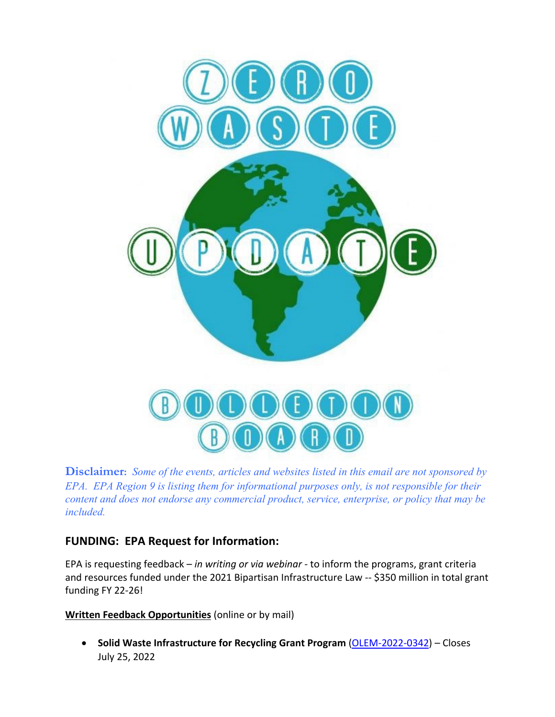

**Disclaimer:** *Some of the events, articles and websites listed in this email are not sponsored by EPA. EPA Region 9 is listing them for informational purposes only, is not responsible for their content and does not endorse any commercial product, service, enterprise, or policy that may be included.* 

## **FUNDING: EPA Request for Information:**

EPA is requesting feedback – *in writing or via webinar* - to inform the programs, grant criteria and resources funded under the 2021 Bipartisan Infrastructure Law -- \$350 million in total grant funding FY 22-26!

**Written Feedback Opportunities** (online or by mail)

• **Solid Waste Infrastructure for Recycling Grant Program** [\(OLEM-2022-0342\)](https://www.federalregister.gov/public-inspection/2022-12457/request-for-information-solid-waste-infrastructure-for-recycling-program) – Closes July 25, 2022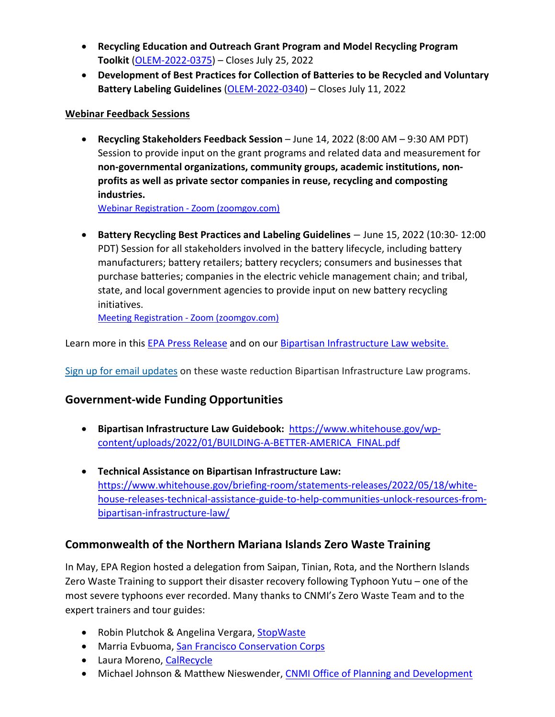- **Recycling Education and Outreach Grant Program and Model Recycling Program Toolkit** [\(OLEM-2022-0375\)](https://www.federalregister.gov/public-inspection/2022-12458/request-for-information-recycling-education-and-outreach-grant-program-and-model-recycling-program) – Closes July 25, 2022
- **Development of Best Practices for Collection of Batteries to be Recycled and Voluntary Battery Labeling Guidelines** [\(OLEM-2022-0340\)](https://www.federalregister.gov/public-inspection/2022-12459/request-for-information-development-of-best-practices-for-collection-of-batteries-to-be-recycled-and) – Closes July 11, 2022

## **Webinar Feedback Sessions**

• **Recycling Stakeholders Feedback Session** – June 14, 2022 (8:00 AM – 9:30 AM PDT) Session to provide input on the grant programs and related data and measurement for **non-governmental organizations, community groups, academic institutions, nonprofits as well as private sector companies in reuse, recycling and composting industries.**

[Webinar Registration - Zoom \(zoomgov.com\)](https://www.zoomgov.com/webinar/register/WN_KW3EhaW5Qm2YiZj15YMCLg)

• **Battery Recycling Best Practices and Labeling Guidelines** – June 15, 2022 (10:30- 12:00 PDT) Session for all stakeholders involved in the battery lifecycle, including battery manufacturers; battery retailers; battery recyclers; consumers and businesses that purchase batteries; companies in the electric vehicle management chain; and tribal, state, and local government agencies to provide input on new battery recycling initiatives.

[Meeting Registration - Zoom \(zoomgov.com\)](https://www.zoomgov.com/meeting/register/vJItd-6rrTMtE71YQC0N2rjMlKpdqPcKMe4)

Learn more in this [EPA Press Release](https://www.epa.gov/newsreleases/biden-harris-administration-and-epa-announce-375-million-funding-bipartisan) and on our [Bipartisan Infrastructure Law website.](https://www.epa.gov/rcra/bipartisan-infrastructure-law-transforming-us-recycling-and-waste-management)

[Sign up for email updates](https://www.epa.gov/recyclingstrategy/forms/stay-connected) on these waste reduction Bipartisan Infrastructure Law programs.

## **Government-wide Funding Opportunities**

- **Bipartisan Infrastructure Law Guidebook:** [https://www.whitehouse.gov/wp](https://www.whitehouse.gov/wp-content/uploads/2022/01/BUILDING-A-BETTER-AMERICA_FINAL.pdf)[content/uploads/2022/01/BUILDING-A-BETTER-AMERICA\\_FINAL.pdf](https://www.whitehouse.gov/wp-content/uploads/2022/01/BUILDING-A-BETTER-AMERICA_FINAL.pdf)
- **Technical Assistance on Bipartisan Infrastructure Law:** [https://www.whitehouse.gov/briefing-room/statements-releases/2022/05/18/white](https://www.whitehouse.gov/briefing-room/statements-releases/2022/05/18/white-house-releases-technical-assistance-guide-to-help-communities-unlock-resources-from-bipartisan-infrastructure-law/)[house-releases-technical-assistance-guide-to-help-communities-unlock-resources-from](https://www.whitehouse.gov/briefing-room/statements-releases/2022/05/18/white-house-releases-technical-assistance-guide-to-help-communities-unlock-resources-from-bipartisan-infrastructure-law/)[bipartisan-infrastructure-law/](https://www.whitehouse.gov/briefing-room/statements-releases/2022/05/18/white-house-releases-technical-assistance-guide-to-help-communities-unlock-resources-from-bipartisan-infrastructure-law/)

## **Commonwealth of the Northern Mariana Islands Zero Waste Training**

In May, EPA Region hosted a delegation from Saipan, Tinian, Rota, and the Northern Islands Zero Waste Training to support their disaster recovery following Typhoon Yutu – one of the most severe typhoons ever recorded. Many thanks to CNMI's Zero Waste Team and to the expert trainers and tour guides:

- Robin Plutchok & Angelina Vergara, [StopWaste](https://www.stopwaste.org/)
- Marria Evbuoma, San Francisco Conservation Corps
- Laura Moreno, [CalRecycle](https://calrecycle.ca.gov/)
- Michael Johnson & Matthew Nieswender, [CNMI Office of Planning and Development](https://opd.gov.mp/)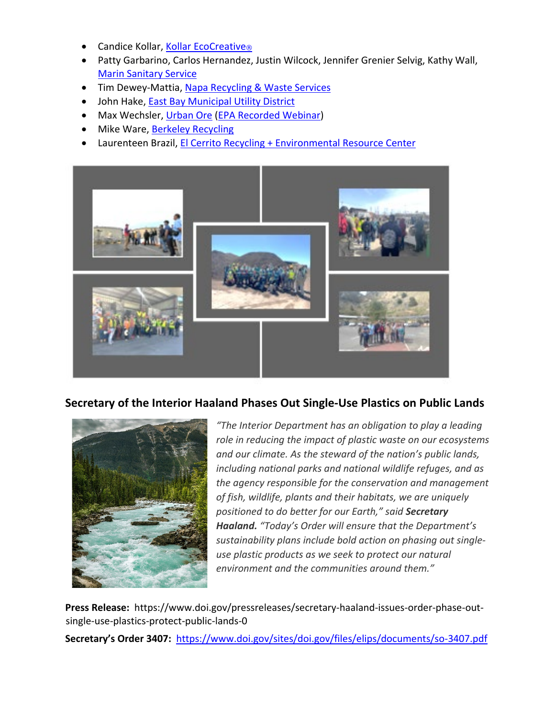- Candice Kollar, Kollar [EcoCreative](https://www.linkedin.com/in/candicekollar/)[®](https://www.linkedin.com/in/candicekollar/)
- Patty Garbarino, Carlos Hernandez, Justin Wilcock, Jennifer Grenier Selvig, Kathy Wall, [Marin Sanitary Service](https://marinsanitaryservice.com/)
- Tim Dewey-Mattia, [Napa Recycling & Waste Services](https://naparecycling.com/)
- John Hake, **East Bay Municipal Utility District**
- Max Wechsler, [Urban Ore](https://urbanore.com/) [\(EPA Recorded Webinar\)](https://youtu.be/1xId5IumXgw?t=1722)
- Mike Ware, [Berkeley Recycling](http://berkeleyrecycling.org/index.php)
- Laurenteen Brazil, [El Cerrito Recycling + Environmental Resource Center](http://el-cerrito.org/533/Recycling-Environmental-Resource-Center)



## **Secretary of the Interior Haaland Phases Out Single-Use Plastics on Public Lands**



*"The Interior Department has an obligation to play a leading role in reducing the impact of plastic waste on our ecosystems and our climate. As the steward of the nation's public lands, including national parks and national wildlife refuges, and as the agency responsible for the conservation and management of fish, wildlife, plants and their habitats, we are uniquely positioned to do better for our Earth," said Secretary Haaland. "Today's Order will ensure that the Department's sustainability plans include bold action on phasing out singleuse plastic products as we seek to protect our natural environment and the communities around them."*

**Press Release:** https://www.doi.gov/pressreleases/secretary-haaland-issues-order-phase-outsingle-use-plastics-protect-public-lands-0

**Secretary's Order 3407:** <https://www.doi.gov/sites/doi.gov/files/elips/documents/so-3407.pdf>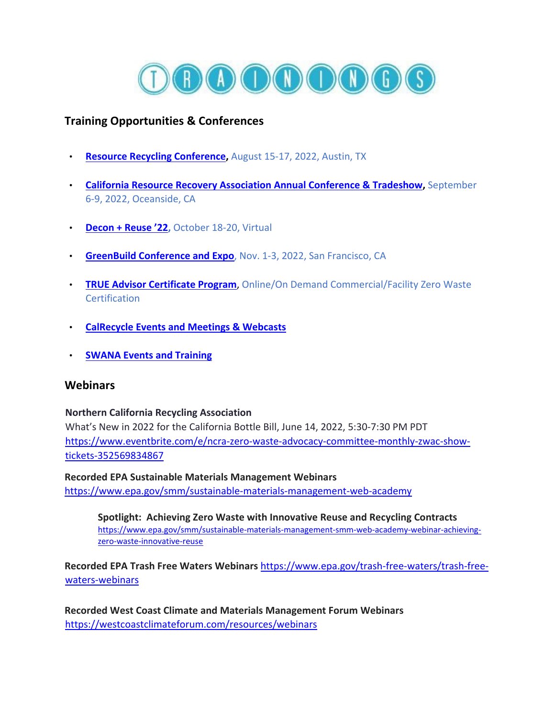

## **Training Opportunities & Conferences**

- **[Resource Recycling Conference,](https://www.rrconference.com/)** August 15-17, 2022, Austin, TX
- **[California Resource Recovery Association Annual Conference](https://www.crra.com/conference) & Tradeshow,** September 6-9, 2022, Oceanside, CA
- **[Decon + Reuse '22,](https://www.buildreuse.org/conference-22)** October 18-20, Virtual
- **[GreenBuild Conference and Expo](https://informaconnect.com/greenbuild/)**, Nov. 1-3, 2022, San Francisco, CA
- **[TRUE Advisor Certificate Program](https://true.gbci.org/true-advisor)**, Online/On Demand Commercial/Facility Zero Waste **Certification**
- **[CalRecycle Events and Meetings & Webcasts](https://gcc02.safelinks.protection.outlook.com/?url=https%3A%2F%2Fwww.calrecycle.ca.gov%2FCalendar%2F&data=04%7C01%7CHood.Timonie%40epa.gov%7Ca252fb5a3b4e4e334ba808d8dce956b2%7C88b378b367484867acf976aacbeca6a7%7C0%7C0%7C637502243275934325%7CUnknown%7CTWFpbGZsb3d8eyJWIjoiMC4wLjAwMDAiLCJQIjoiV2luMzIiLCJBTiI6Ik1haWwiLCJXVCI6Mn0%3D%7C1000&sdata=tEjGPTboXHlj30GR23KyJI0EcSCxVs4gfteM3vlGMWk%3D&reserved=0)**
- **[SWANA Events and Training](https://gcc02.safelinks.protection.outlook.com/?url=https%3A%2F%2Fswana.org%2FEvents.aspx&data=04%7C01%7CHood.Timonie%40epa.gov%7Ca252fb5a3b4e4e334ba808d8dce956b2%7C88b378b367484867acf976aacbeca6a7%7C0%7C0%7C637502243275934325%7CUnknown%7CTWFpbGZsb3d8eyJWIjoiMC4wLjAwMDAiLCJQIjoiV2luMzIiLCJBTiI6Ik1haWwiLCJXVCI6Mn0%3D%7C1000&sdata=xlqOqEjxj%2FQ7ja%2BbOdQbwEQjCh5ITZu5hX8KUCuSIyQ%3D&reserved=0)**

#### **Webinars**

#### **Northern California Recycling Association**

What's New in 2022 for the California Bottle Bill, June 14, 2022, 5:30-7:30 PM PDT [https://www.eventbrite.com/e/ncra-zero-waste-advocacy-committee-monthly-zwac-show](https://www.eventbrite.com/e/ncra-zero-waste-advocacy-committee-monthly-zwac-show-tickets-352569834867)[tickets-352569834867](https://www.eventbrite.com/e/ncra-zero-waste-advocacy-committee-monthly-zwac-show-tickets-352569834867)

**Recorded EPA Sustainable Materials Management Webinars**  <https://www.epa.gov/smm/sustainable-materials-management-web-academy>

**Spotlight: Achieving Zero Waste with Innovative Reuse and Recycling Contracts** [https://www.epa.gov/smm/sustainable-materials-management-smm-web-academy-webinar-achieving](https://www.epa.gov/smm/sustainable-materials-management-smm-web-academy-webinar-achieving-zero-waste-innovative-reuse)[zero-waste-innovative-reuse](https://www.epa.gov/smm/sustainable-materials-management-smm-web-academy-webinar-achieving-zero-waste-innovative-reuse)

**Recorded EPA Trash Free Waters Webinars** [https://www.epa.gov/trash-free-waters/trash-free](https://www.epa.gov/trash-free-waters/trash-free-waters-webinars)[waters-webinars](https://www.epa.gov/trash-free-waters/trash-free-waters-webinars)

**Recorded West Coast Climate and Materials Management Forum Webinars**  <https://westcoastclimateforum.com/resources/webinars>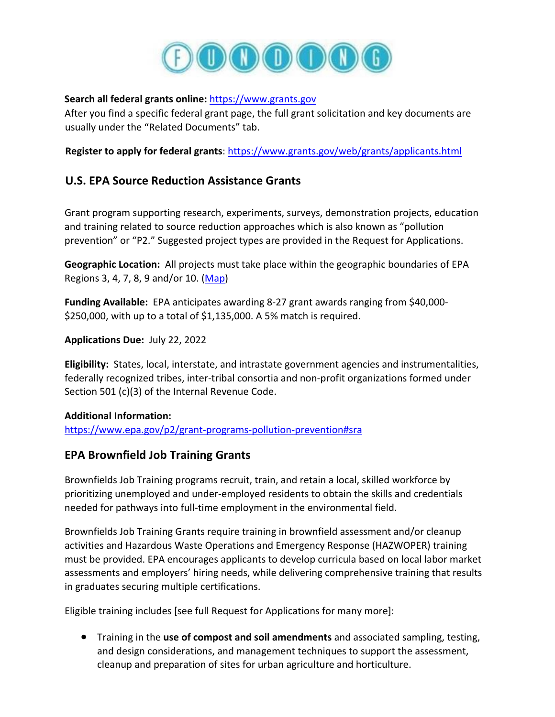

#### **Search all federal grants online:** [https://www.grants.gov](https://gcc02.safelinks.protection.outlook.com/?url=https%3A%2F%2Fwww.grants.gov%2F&data=04%7C01%7CHood.Timonie%40epa.gov%7Ca252fb5a3b4e4e334ba808d8dce956b2%7C88b378b367484867acf976aacbeca6a7%7C0%7C0%7C637502243275964165%7CUnknown%7CTWFpbGZsb3d8eyJWIjoiMC4wLjAwMDAiLCJQIjoiV2luMzIiLCJBTiI6Ik1haWwiLCJXVCI6Mn0%3D%7C1000&sdata=TYu%2FFmBk9h9LMwOQbndPvYclakTrViNMw8A7IW9pZHI%3D&reserved=0)

After you find a specific federal grant page, the full grant solicitation and key documents are usually under the "Related Documents" tab.

**Register to apply for federal grants:<https://www.grants.gov/web/grants/applicants.html>** 

## **U.S. EPA Source Reduction Assistance Grants**

Grant program supporting research, experiments, surveys, demonstration projects, education and training related to source reduction approaches which is also known as "pollution prevention" or "P2." Suggested project types are provided in the Request for Applications.

**Geographic Location:** All projects must take place within the geographic boundaries of EPA Regions 3, 4, 7, 8, 9 and/or 10. [\(Map\)](https://www.epa.gov/aboutepa/regional-and-geographic-offices)

**Funding Available:** EPA anticipates awarding 8-27 grant awards ranging from \$40,000- \$250,000, with up to a total of \$1,135,000. A 5% match is required.

**Applications Due:** July 22, 2022

**Eligibility:** States, local, interstate, and intrastate government agencies and instrumentalities, federally recognized tribes, inter-tribal consortia and non-profit organizations formed under Section 501 (c)(3) of the Internal Revenue Code.

#### **Additional Information:**

<https://www.epa.gov/p2/grant-programs-pollution-prevention#sra>

## **EPA Brownfield Job Training Grants**

Brownfields Job Training programs recruit, train, and retain a local, skilled workforce by prioritizing unemployed and under-employed residents to obtain the skills and credentials needed for pathways into full-time employment in the environmental field.

Brownfields Job Training Grants require training in brownfield assessment and/or cleanup activities and Hazardous Waste Operations and Emergency Response (HAZWOPER) training must be provided. EPA encourages applicants to develop curricula based on local labor market assessments and employers' hiring needs, while delivering comprehensive training that results in graduates securing multiple certifications.

Eligible training includes [see full Request for Applications for many more]:

• Training in the **use of compost and soil amendments** and associated sampling, testing, and design considerations, and management techniques to support the assessment, cleanup and preparation of sites for urban agriculture and horticulture.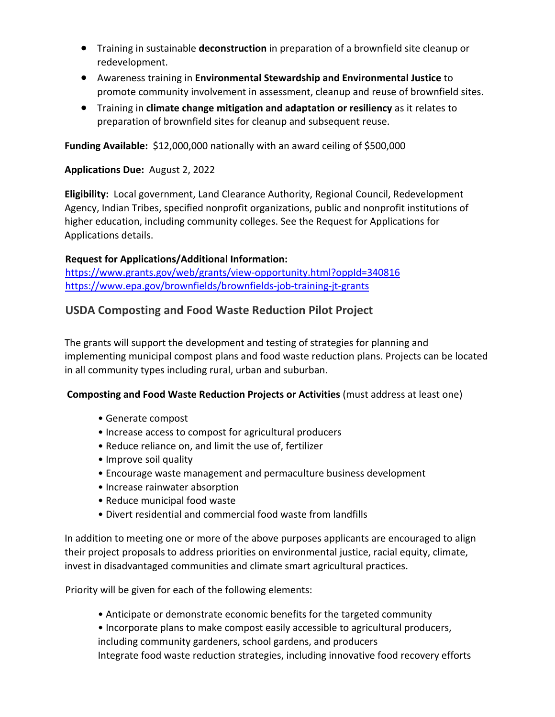- Training in sustainable **deconstruction** in preparation of a brownfield site cleanup or redevelopment.
- Awareness training in **Environmental Stewardship and Environmental Justice** to promote community involvement in assessment, cleanup and reuse of brownfield sites.
- Training in **climate change mitigation and adaptation or resiliency** as it relates to preparation of brownfield sites for cleanup and subsequent reuse.

**Funding Available:** \$12,000,000 nationally with an award ceiling of \$500,000

**Applications Due:** August 2, 2022

**Eligibility:** Local government, Land Clearance Authority, Regional Council, Redevelopment Agency, Indian Tribes, specified nonprofit organizations, public and nonprofit institutions of higher education, including community colleges. See the Request for Applications for Applications details.

#### **Request for Applications/Additional Information:**

<https://www.grants.gov/web/grants/view-opportunity.html?oppId=340816> <https://www.epa.gov/brownfields/brownfields-job-training-jt-grants>

## **USDA Composting and Food Waste Reduction Pilot Project**

The grants will support the development and testing of strategies for planning and implementing municipal compost plans and food waste reduction plans. Projects can be located in all community types including rural, urban and suburban.

#### **Composting and Food Waste Reduction Projects or Activities** (must address at least one)

- Generate compost
- Increase access to compost for agricultural producers
- Reduce reliance on, and limit the use of, fertilizer
- Improve soil quality
- Encourage waste management and permaculture business development
- Increase rainwater absorption
- Reduce municipal food waste
- Divert residential and commercial food waste from landfills

In addition to meeting one or more of the above purposes applicants are encouraged to align their project proposals to address priorities on environmental justice, racial equity, climate, invest in disadvantaged communities and climate smart agricultural practices.

Priority will be given for each of the following elements:

- Anticipate or demonstrate economic benefits for the targeted community
- Incorporate plans to make compost easily accessible to agricultural producers,

including community gardeners, school gardens, and producers

Integrate food waste reduction strategies, including innovative food recovery efforts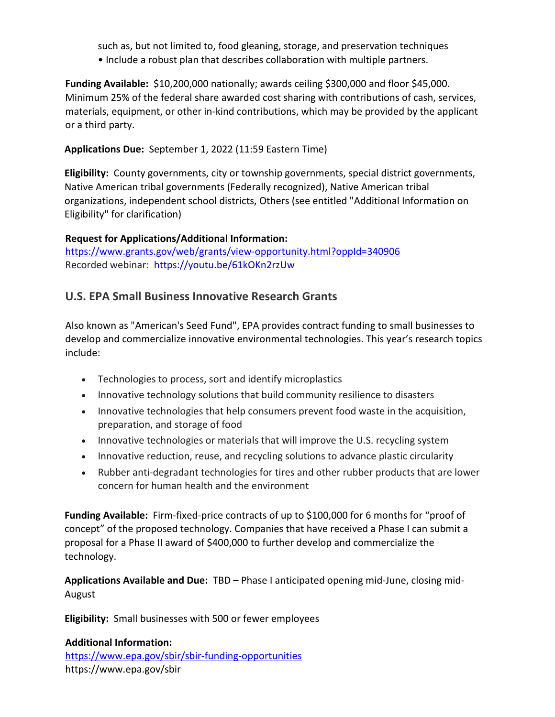such as, but not limited to, food gleaning, storage, and preservation techniques • Include a robust plan that describes collaboration with multiple partners.

**Funding Available:** \$10,200,000 nationally; awards ceiling \$300,000 and floor \$45,000. Minimum 25% of the federal share awarded cost sharing with contributions of cash, services, materials, equipment, or other in-kind contributions, which may be provided by the applicant or a third party.

**Applications Due:** September 1, 2022 (11:59 Eastern Time)

**Eligibility:** County governments, city or township governments, special district governments, Native American tribal governments (Federally recognized), Native American tribal organizations, independent school districts, Others (see entitled "Additional Information on Eligibility" for clarification)

#### **Request for Applications/Additional Information:**

<https://www.grants.gov/web/grants/view-opportunity.html?oppId=340906> Recorded webinar: [https://youtu.be/61kOKn2rzUw](https://gcc02.safelinks.protection.outlook.com/?url=https%3A%2F%2Fyoutu.be%2F61kOKn2rzUw&data=05%7C01%7C%7C63d90fafbdbb4ff5d20208da455b544b%7Ced5b36e701ee4ebc867ee03cfa0d4697%7C0%7C0%7C637898556131443474%7CUnknown%7CTWFpbGZsb3d8eyJWIjoiMC4wLjAwMDAiLCJQIjoiV2luMzIiLCJBTiI6Ik1haWwiLCJXVCI6Mn0%3D%7C3000%7C%7C%7C&sdata=ivhDAZpbIbF6ZfhwpioU6%2FlPWXGRD22bFmcr%2BCnj4us%3D&reserved=0)

## **U.S. EPA Small Business Innovative Research Grants**

Also known as "American's Seed Fund", EPA provides contract funding to small businesses to develop and commercialize innovative environmental technologies. This year's research topics include:

- Technologies to process, sort and identify microplastics
- Innovative technology solutions that build community resilience to disasters
- Innovative technologies that help consumers prevent food waste in the acquisition, preparation, and storage of food
- Innovative technologies or materials that will improve the U.S. recycling system
- Innovative reduction, reuse, and recycling solutions to advance plastic circularity
- Rubber anti-degradant technologies for tires and other rubber products that are lower concern for human health and the environment

**Funding Available:** Firm-fixed-price contracts of up to \$100,000 for 6 months for "proof of concept" of the proposed technology. Companies that have received a Phase I can submit a proposal for a Phase II award of \$400,000 to further develop and commercialize the technology.

**Applications Available and Due:** TBD – Phase I anticipated opening mid-June, closing mid-August

**Eligibility:** Small businesses with 500 or fewer employees

#### **Additional Information:**  <https://www.epa.gov/sbir/sbir-funding-opportunities> https://www.epa.gov/sbir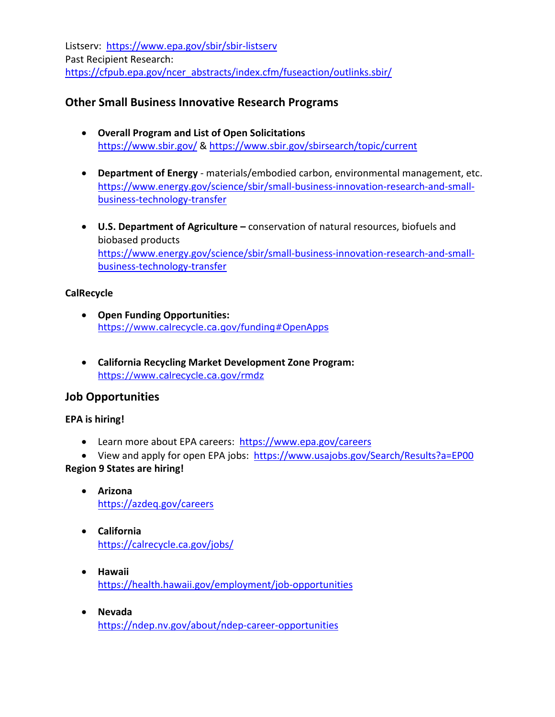Listserv: <https://www.epa.gov/sbir/sbir-listserv> Past Recipient Research: [https://cfpub.epa.gov/ncer\\_abstracts/index.cfm/fuseaction/outlinks.sbir/](https://cfpub.epa.gov/ncer_abstracts/index.cfm/fuseaction/outlinks.sbir/)

## **Other Small Business Innovative Research Programs**

- **Overall Program and List of Open Solicitations**  <https://www.sbir.gov/> &<https://www.sbir.gov/sbirsearch/topic/current>
- **Department of Energy** materials/embodied carbon, environmental management, etc. [https://www.energy.gov/science/sbir/small-business-innovation-research-and-small](https://www.energy.gov/science/sbir/small-business-innovation-research-and-small-business-technology-transfer)[business-technology-transfer](https://www.energy.gov/science/sbir/small-business-innovation-research-and-small-business-technology-transfer)
- **U.S. Department of Agriculture** conservation of natural resources, biofuels and biobased products [https://www.energy.gov/science/sbir/small-business-innovation-research-and-small](https://www.energy.gov/science/sbir/small-business-innovation-research-and-small-business-technology-transfer)[business-technology-transfer](https://www.energy.gov/science/sbir/small-business-innovation-research-and-small-business-technology-transfer)

#### **CalRecycle**

- **Open Funding Opportunities:** <https://www.calrecycle.ca.gov/funding#OpenApps>
- **California Recycling Market Development Zone Program:**  <https://www.calrecycle.ca.gov/rmdz>

## **Job Opportunities**

#### **EPA is hiring!**

- Learn more about EPA careers: <https://www.epa.gov/careers>
- View and apply for open EPA jobs: <https://www.usajobs.gov/Search/Results?a=EP00>

## **Region 9 States are hiring!**

- **Arizona**  <https://azdeq.gov/careers>
- **California** <https://calrecycle.ca.gov/jobs/>
- **Hawaii** <https://health.hawaii.gov/employment/job-opportunities>
- **Nevada** <https://ndep.nv.gov/about/ndep-career-opportunities>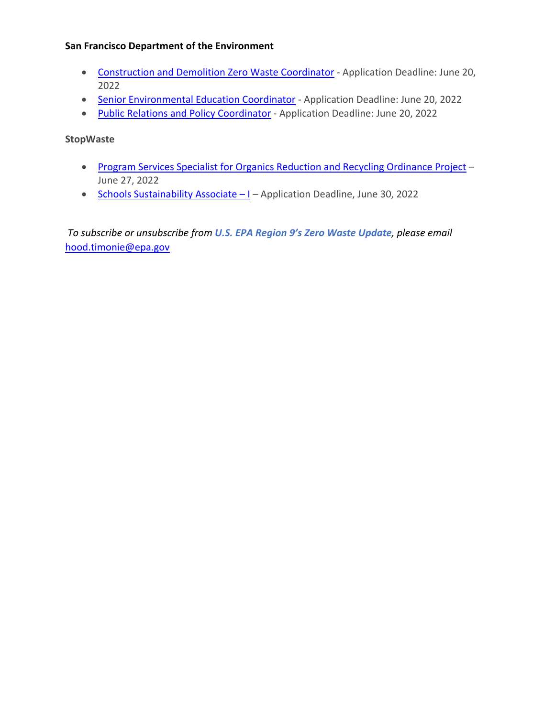#### **San Francisco Department of the Environment**

- [Construction and Demolition Zero Waste Coordinator](https://sfenvironment.org/about/jobs/construction-and-demolition-zero-waste-coordinator-0)  Application Deadline: June 20, 2022
- [Senior Environmental Education Coordinator -](https://sfenvironment.org/about/jobs/senior-environmental-education-coordinator) Application Deadline: June 20, 2022
- [Public Relations and Policy Coordinator](https://sfenvironment.org/about/jobs/public-relations-and-policy-coordinator-0)  Application Deadline: June 20, 2022

**StopWaste**

- [Program Services Specialist for Organics Reduction and Recycling Ordinance Project](https://www.stopwaste.org/about-stopwaste/jobs/program-services-specialist-for-organics-reduction-and-recycling-ordinance)  June 27, 2022
- Schools Sustainability Associate I Application Deadline, June 30, 2022

*To subscribe or unsubscribe from U.S. EPA Region 9's Zero Waste Update, please email* hood.timonie@epa.gov